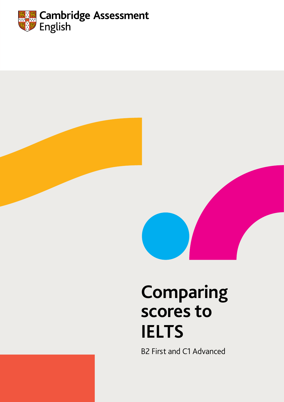



# **Comparing scores to IELTS**

B2 First and C1 Advanced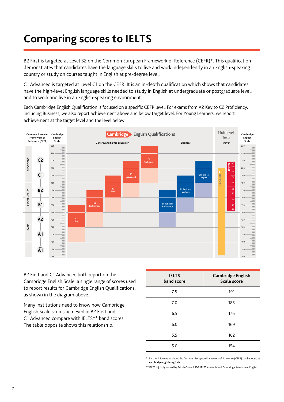### **Comparing scores to IELTS**

B2 First is targeted at Level B2 on the Common European Framework of Reference (CEFR)\*. This qualification demonstrates that candidates have the language skills to live and work independently in an English-speaking country or study on courses taught in English at pre-degree level.

C1 Advanced is targeted at Level C1 on the CEFR. It is an in-depth qualification which shows that candidates have the high-level English language skills needed to study in English at undergraduate or postgraduate level, and to work and live in an English-speaking environment.

Each Cambridge English Qualification is focused on a specific CEFR level. For exams from A2 Key to C2 Proficiency, including Business, we also report achievement above and below target level. For Young Learners, we report achievement at the target level and the level below.



B2 First and C1 Advanced both report on the Cambridge English Scale, a single range of scores used to report results for Cambridge English Qualifications, as shown in the diagram above.

Many institutions need to know how Cambridge English Scale scores achieved in B2 First and C1 Advanced compare with IELTS\*\* band scores. The table opposite shows this relationship.

| <b>IELTS</b><br>band score | <b>Cambridge English</b><br><b>Scale score</b> |
|----------------------------|------------------------------------------------|
| 7.5                        | 191                                            |
| 7.0                        | 185                                            |
| 6.5                        | 176                                            |
| 6.0                        | 169                                            |
| 5.5                        | 162                                            |
| 5.0                        | 154                                            |

\* Further information about the Common European Framework of Reference (CEFR) can be found at cambridgeenglish.org/cefr.

\*\* IELTS is jointly owned by British Council, IDP: IELTS Australia and Cambridge Assessment English.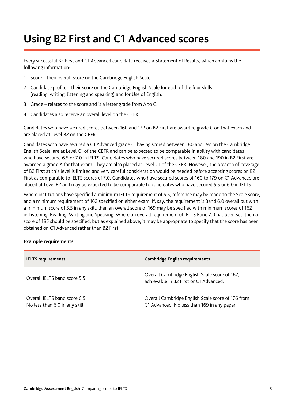### **Using B2 First and C1 Advanced scores**

Every successful B2 First and C1 Advanced candidate receives a Statement of Results, which contains the following information:

- 1. Score their overall score on the Cambridge English Scale.
- 2. Candidate profile their score on the Cambridge English Scale for each of the four skills (reading, writing, listening and speaking) and for Use of English.
- 3. Grade relates to the score and is a letter grade from A to C.
- 4. Candidates also receive an overall level on the CEFR.

Candidates who have secured scores between 160 and 172 on B2 First are awarded grade C on that exam and are placed at Level B2 on the CEFR.

Candidates who have secured a C1 Advanced grade C, having scored between 180 and 192 on the Cambridge English Scale, are at Level C1 of the CEFR and can be expected to be comparable in ability with candidates who have secured 6.5 or 7.0 in IELTS. Candidates who have secured scores between 180 and 190 in B2 First are awarded a grade A for that exam. They are also placed at Level C1 of the CEFR. However, the breadth of coverage of B2 First at this level is limited and very careful consideration would be needed before accepting scores on B2 First as comparable to IELTS scores of 7.0. Candidates who have secured scores of 160 to 179 on C1 Advanced are placed at Level B2 and may be expected to be comparable to candidates who have secured 5.5 or 6.0 in IELTS.

Where institutions have specified a minimum IELTS requirement of 5.5, reference may be made to the Scale score, and a minimum requirement of 162 specified on either exam. If, say, the requirement is Band 6.0 overall but with a minimum score of 5.5 in any skill, then an overall score of 169 may be specified with minimum scores of 162 in Listening, Reading, Writing and Speaking. Where an overall requirement of IELTS Band 7.0 has been set, then a score of 185 should be specified, but as explained above, it may be appropriate to specify that the score has been obtained on C1 Advanced rather than B2 First.

#### **Example requirements**

| <b>IELTS requirements</b>                                     | <b>Cambridge English requirements</b>                                                            |
|---------------------------------------------------------------|--------------------------------------------------------------------------------------------------|
| Overall IELTS band score 5.5                                  | Overall Cambridge English Scale score of 162,<br>achievable in B2 First or C1 Advanced.          |
| Overall IELTS band score 6.5<br>No less than 6.0 in any skill | Overall Cambridge English Scale score of 176 from<br>C1 Advanced. No less than 169 in any paper. |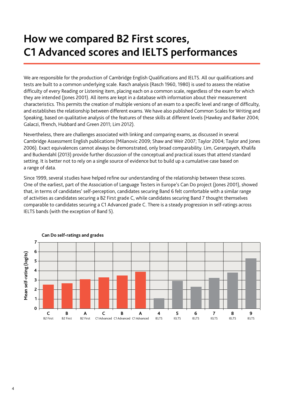### **How we compared B2 First scores, C1 Advanced scores and IELTS performances**

We are responsible for the production of Cambridge English Qualifications and IELTS. All our qualifications and tests are built to a common underlying scale. Rasch analysis (Rasch 1960, 1980) is used to assess the relative difficulty of every Reading or Listening item, placing each on a common scale, regardless of the exam for which they are intended (Jones 2001). All items are kept in a database with information about their measurement characteristics. This permits the creation of multiple versions of an exam to a specific level and range of difficulty, and establishes the relationship between different exams. We have also published Common Scales for Writing and Speaking, based on qualitative analysis of the features of these skills at different levels (Hawkey and Barker 2004; Galaczi, ffrench, Hubbard and Green 2011; Lim 2012).

Nevertheless, there are challenges associated with linking and comparing exams, as discussed in several Cambridge Assessment English publications (Milanovic 2009; Shaw and Weir 2007; Taylor 2004; Taylor and Jones 2006). Exact equivalences cannot always be demonstrated, only broad comparability. Lim, Geranpayeh, Khalifa and Buckendahl (2013) provide further discussion of the conceptual and practical issues that attend standard setting. It is better not to rely on a single source of evidence but to build up a cumulative case based on a range of data.

Since 1999, several studies have helped refine our understanding of the relationship between these scores. One of the earliest, part of the Association of Language Testers in Europe's Can Do project (Jones 2001), showed that, in terms of candidates' self-perception, candidates securing Band 6 felt comfortable with a similar range of activities as candidates securing a B2 First grade C, while candidates securing Band 7 thought themselves comparable to candidates securing a C1 Advanced grade C. There is a steady progression in self-ratings across IELTS bands (with the exception of Band 5).



### **Can Do self-ratings and grades**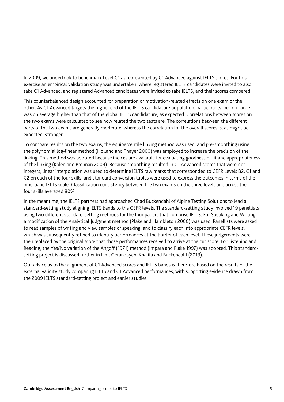In 2009, we undertook to benchmark Level C1 as represented by C1 Advanced against IELTS scores. For this exercise an empirical validation study was undertaken, where registered IELTS candidates were invited to also take C1 Advanced, and registered Advanced candidates were invited to take IELTS, and their scores compared.

This counterbalanced design accounted for preparation or motivation-related effects on one exam or the other. As C1 Advanced targets the higher end of the IELTS candidature population, participants' performance was on average higher than that of the global IELTS candidature, as expected. Correlations between scores on the two exams were calculated to see how related the two tests are. The correlations between the different parts of the two exams are generally moderate, whereas the correlation for the overall scores is, as might be expected, stronger.

To compare results on the two exams, the equipercentile linking method was used, and pre-smoothing using the polynomial log-linear method (Holland and Thayer 2000) was employed to increase the precision of the linking. This method was adopted because indices are available for evaluating goodness of fit and appropriateness of the linking (Kolen and Brennan 2004). Because smoothing resulted in C1 Advanced scores that were not integers, linear interpolation was used to determine IELTS raw marks that corresponded to CEFR Levels B2, C1 and C2 on each of the four skills, and standard conversion tables were used to express the outcomes in terms of the nine-band IELTS scale. Classification consistency between the two exams on the three levels and across the four skills averaged 80%.

In the meantime, the IELTS partners had approached Chad Buckendahl of Alpine Testing Solutions to lead a standard-setting study aligning IELTS bands to the CEFR levels. The standard-setting study involved 19 panellists using two different standard-setting methods for the four papers that comprise IELTS. For Speaking and Writing, a modification of the Analytical Judgment method (Plake and Hambleton 2000) was used. Panellists were asked to read samples of writing and view samples of speaking, and to classify each into appropriate CEFR levels, which was subsequently refined to identify performances at the border of each level. These judgements were then replaced by the original score that those performances received to arrive at the cut score. For Listening and Reading, the Yes/No variation of the Angoff (1971) method (Impara and Plake 1997) was adopted. This standardsetting project is discussed further in Lim, Geranpayeh, Khalifa and Buckendahl (2013).

Our advice as to the alignment of C1 Advanced scores and IELTS bands is therefore based on the results of the external validity study comparing IELTS and C1 Advanced performances, with supporting evidence drawn from the 2009 IELTS standard-setting project and earlier studies.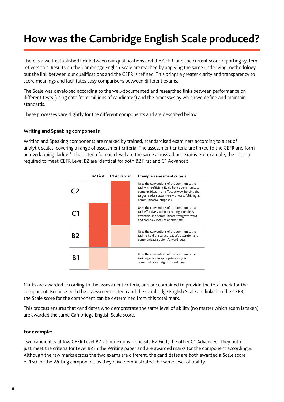## **How was the Cambridge English Scale produced?**

There is a well-established link between our qualifications and the CEFR, and the current score-reporting system reflects this. Results on the Cambridge English Scale are reached by applying the same underlying methodology, but the link between our qualifications and the CEFR is refined. This brings a greater clarity and transparency to score meanings and facilitates easy comparisons between different exams.

The Scale was developed according to the well-documented and researched links between performance on different tests (using data from millions of candidates) and the processes by which we define and maintain standards.

These processes vary slightly for the different components and are described below.

#### **Writing and Speaking components**

Writing and Speaking components are marked by trained, standardised examiners according to a set of analytic scales, covering a range of assessment criteria. The assessment criteria are linked to the CEFR and form an overlapping 'ladder'. The criteria for each level are the same across all our exams. For example, the criteria required to meet CEFR Level B2 are identical for both B2 First and C1 Advanced.



Marks are awarded according to the assessment criteria, and are combined to provide the total mark for the component. Because both the assessment criteria and the Cambridge English Scale are linked to the CEFR, the Scale score for the component can be determined from this total mark.

This process ensures that candidates who demonstrate the same level of ability (no matter which exam is taken) are awarded the same Cambridge English Scale score.

#### **For example:**

Two candidates at low CEFR Level B2 sit our exams – one sits B2 First, the other C1 Advanced. They both just meet the criteria for Level B2 in the Writing paper and are awarded marks for the component accordingly. Although the raw marks across the two exams are different, the candidates are both awarded a Scale score of 160 for the Writing component, as they have demonstrated the same level of ability.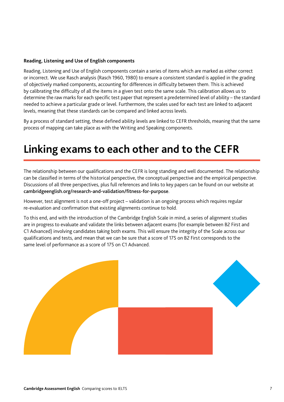#### **Reading, Listening and Use of English components**

Reading, Listening and Use of English components contain a series of items which are marked as either correct or incorrect. We use Rasch analysis (Rasch 1960, 1980) to ensure a consistent standard is applied in the grading of objectively marked components, accounting for differences in difficulty between them. This is achieved by calibrating the difficulty of all the items in a given test onto the same scale. This calibration allows us to determine the raw marks for each specific test paper that represent a predetermined level of ability – the standard needed to achieve a particular grade or level. Furthermore, the scales used for each test are linked to adjacent levels, meaning that these standards can be compared and linked across levels.

By a process of standard setting, these defined ability levels are linked to CEFR thresholds, meaning that the same process of mapping can take place as with the Writing and Speaking components.

### **Linking exams to each other and to the CEFR**

The relationship between our qualifications and the CEFR is long standing and well documented. The relationship can be classified in terms of the historical perspective, the conceptual perspective and the empirical perspective. Discussions of all three perspectives, plus full references and links to key papers can be found on our website at cambridgeenglish.org/research-and-validation/fitness-for-purpose.

However, test alignment is not a one-off project – validation is an ongoing process which requires regular re-evaluation and confirmation that existing alignments continue to hold.

To this end, and with the introduction of the Cambridge English Scale in mind, a series of alignment studies are in progress to evaluate and validate the links between adjacent exams (for example between B2 First and C1 Advanced) involving candidates taking both exams. This will ensure the integrity of the Scale across our qualifications and tests, and mean that we can be sure that a score of 175 on B2 First corresponds to the same level of performance as a score of 175 on C1 Advanced.